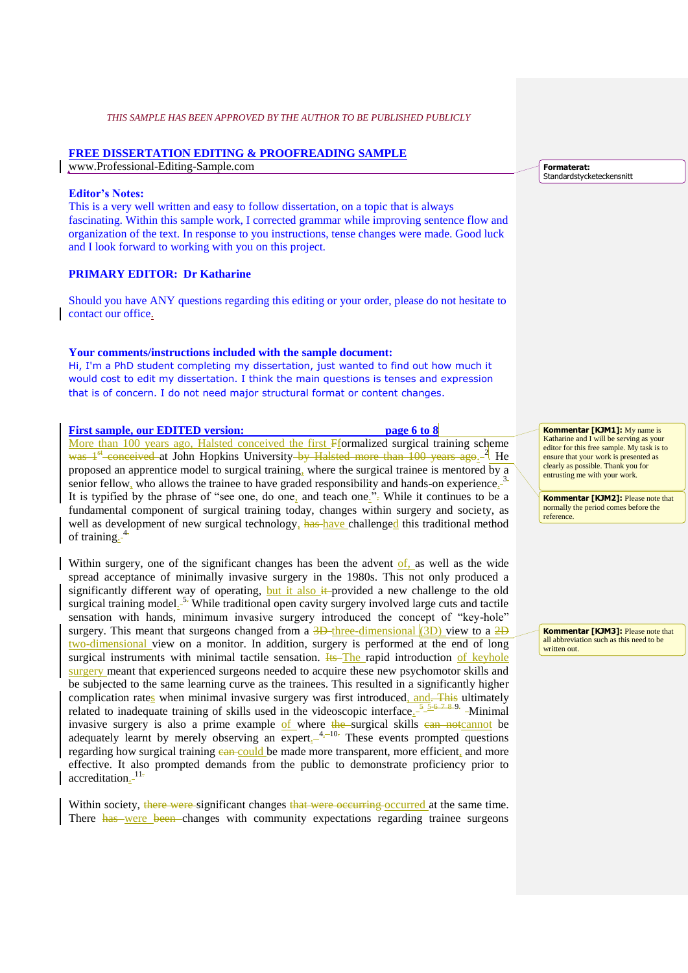# **FREE DISSERTATION EDITING & PROOFREADING SAMPLE**

www.Professional-Editing-Sample.com

#### **Editor's Notes:**

This is a very well written and easy to follow dissertation, on a topic that is always fascinating. Within this sample work, I corrected grammar while improving sentence flow and organization of the text. In response to you instructions, tense changes were made. Good luck and I look forward to working with you on this project.

# **PRIMARY EDITOR: Dr Katharine**

Should you have ANY questions regarding this editing or your order, please do not hesitate to contact our office.

### **Your comments/instructions included with the sample document:**

Hi, I'm a PhD student completing my dissertation, just wanted to find out how much it would cost to edit my dissertation. I think the main questions is tenses and expression that is of concern. I do not need major structural format or content changes.

### **First sample, our EDITED version: page 6 to 8**

More than 100 years ago, Halsted conceived the first Fformalized surgical training scheme was 1<sup>st</sup> conceived at John Hopkins University by Halsted more than 100 years ago.<sup>2</sup> He proposed an apprentice model to surgical training, where the surgical trainee is mentored by a senior fellow, who allows the trainee to have graded responsibility and hands-on experience.<sup>3.</sup> It is typified by the phrase of "see one, do one, and teach one.". While it continues to be a fundamental component of surgical training today, changes within surgery and society, as well as development of new surgical technology, has have challenged this traditional method of training.<sup>4</sup>

Within surgery, one of the significant changes has been the advent of, as well as the wide spread acceptance of minimally invasive surgery in the 1980s. This not only produced a significantly different way of operating, but it also  $#$ -provided a new challenge to the old surgical training model<sup>5,</sup> While traditional open cavity surgery involved large cuts and tactile sensation with hands, minimum invasive surgery introduced the concept of "key-hole" surgery. This meant that surgeons changed from a  $\frac{3D$ -three-dimensional  $(3D)$  view to a  $2D$ two-dimensional view on a monitor. In addition, surgery is performed at the end of long surgical instruments with minimal tactile sensation.  $H\text{s}-The rapid introduction of keyhole$ surgery meant that experienced surgeons needed to acquire these new psychomotor skills and be subjected to the same learning curve as the trainees. This resulted in a significantly higher complication rates when minimal invasive surgery was first introduced, and. This ultimately related to inadequate training of skills used in the videoscopic interface.  $\frac{5.56}{1.5}$  $\frac{7.8.97}{ }$  -Minimal invasive surgery is also a prime example of where the surgical skills can notcannot be adequately learnt by merely observing an expert $_{-4}$ <sup>4 $_{+10}$ </sup>. These events prompted questions regarding how surgical training can could be made more transparent, more efficient, and more effective. It also prompted demands from the public to demonstrate proficiency prior to accreditation<sub>-</sub><sup>11.</sup>

Within society, there were significant changes that were occurring occurred at the same time. There has were been changes with community expectations regarding trainee surgeons **Formaterat:** Standardstycketeckensnitt

**Kommentar [KJM1]:** My name is Katharine and I will be serving as your editor for this free sample. My task is to ensure that your work is presented as clearly as possible. Thank you for entrusting me with your work.

**Kommentar [KJM2]:** Please note that normally the period comes before the reference.

**Kommentar [KJM3]:** Please note that all abbreviation such as this need to be written out.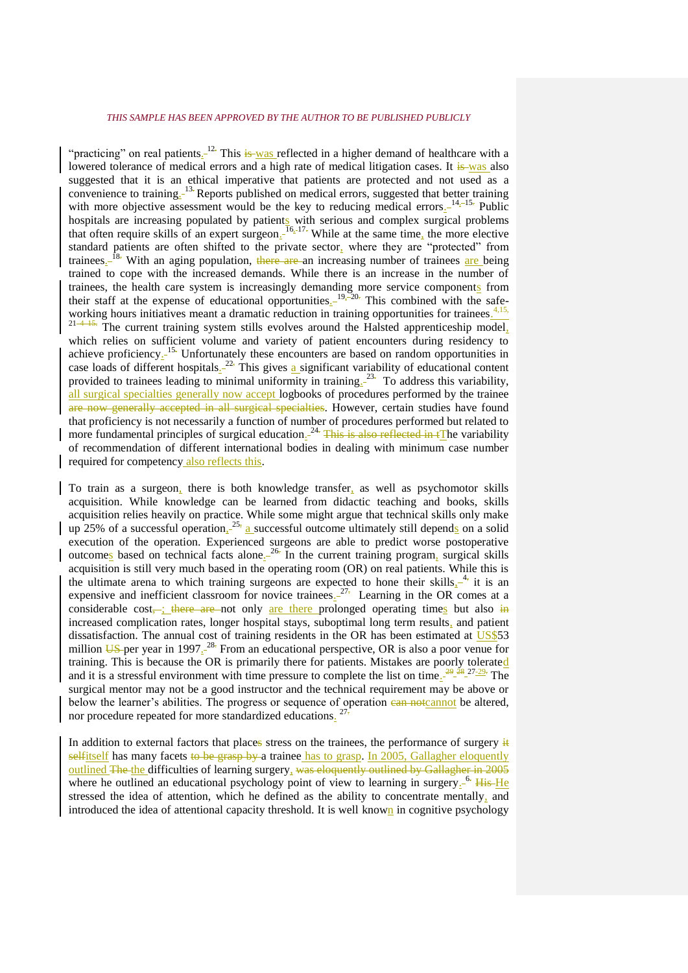"practicing" on real patients.<sup>[12]</sup> This is was reflected in a higher demand of healthcare with a lowered tolerance of medical errors and a high rate of medical litigation cases. It is was also suggested that it is an ethical imperative that patients are protected and not used as a convenience to training. 13. Reports published on medical errors, suggested that better training with more objective assessment would be the key to reducing medical errors $1^{4,-15}$ . Public hospitals are increasing populated by patients with serious and complex surgical problems that often require skills of an expert surgeon.  $I_{6,-17}$ . While at the same time, the more elective standard patients are often shifted to the private sector, where they are "protected" from trainees<sub>-</sub><sup>18</sup>. With an aging population, there are an increasing number of trainees are being trained to cope with the increased demands. While there is an increase in the number of trainees, the health care system is increasingly demanding more service components from their staff at the expense of educational opportunities $1^{19}$ ,  $20^{\circ}$ . This combined with the safeworking hours initiatives meant a dramatic reduction in training opportunities for trainees.<sup>4,15,</sup> The current training system stills evolves around the Halsted apprenticeship model. which relies on sufficient volume and variety of patient encounters during residency to achieve proficiency $1^{15}$ . Unfortunately these encounters are based on random opportunities in case loads of different hospitals $2^{22}$ . This gives a significant variability of educational content provided to trainees leading to minimal uniformity in training $2^{3}$ . To address this variability, all surgical specialties generally now accept logbooks of procedures performed by the trainee are now generally accepted in all surgical specialties. However, certain studies have found that proficiency is not necessarily a function of number of procedures performed but related to more fundamental principles of surgical education.<sup>24.</sup> This is also reflected in tThe variability of recommendation of different international bodies in dealing with minimum case number required for competency also reflects this.

To train as a surgeon, there is both knowledge transfer, as well as psychomotor skills acquisition. While knowledge can be learned from didactic teaching and books, skills acquisition relies heavily on practice. While some might argue that technical skills only make up 25% of a successful operation.<sup>25,</sup> a successful outcome ultimately still depends on a solid execution of the operation. Experienced surgeons are able to predict worse postoperative outcomes based on technical facts alone<sup>26</sup>. In the current training program, surgical skills acquisition is still very much based in the operating room (OR) on real patients. While this is the ultimate arena to which training surgeons are expected to hone their skills $_{4}$ <sup>4</sup>; it is an expensive and inefficient classroom for novice trainees.<sup>27.</sup> Learning in the OR comes at a considerable cost, ; there are not only are there prolonged operating times but also in increased complication rates, longer hospital stays, suboptimal long term results, and patient dissatisfaction. The annual cost of training residents in the OR has been estimated at US\$53 million  $\overline{US}$ -per year in 1997<sub>-</sub><sup>-28.</sup> From an educational perspective, OR is also a poor venue for training. This is because the OR is primarily there for patients. Mistakes are poorly tolerated and it is a stressful environment with time pressure to complete the list on time<sub>s</sub><sup>29</sup><sup>28</sup><sup>27-29</sup>. The surgical mentor may not be a good instructor and the technical requirement may be above or below the learner's abilities. The progress or sequence of operation can note annot be altered, nor procedure repeated for more standardized educations.<sup>27</sup>

In addition to external factors that places stress on the trainees, the performance of surgery  $\frac{1}{2}$ selfitself has many facets to be grasp by a trainee has to grasp. In 2005, Gallagher eloquently outlined The the difficulties of learning surgery, was eloquently outlined by Gallagher in 2005 where he outlined an educational psychology point of view to learning in surgery.<sup> $-6$ </sup> His He stressed the idea of attention, which he defined as the ability to concentrate mentally, and introduced the idea of attentional capacity threshold. It is well known in cognitive psychology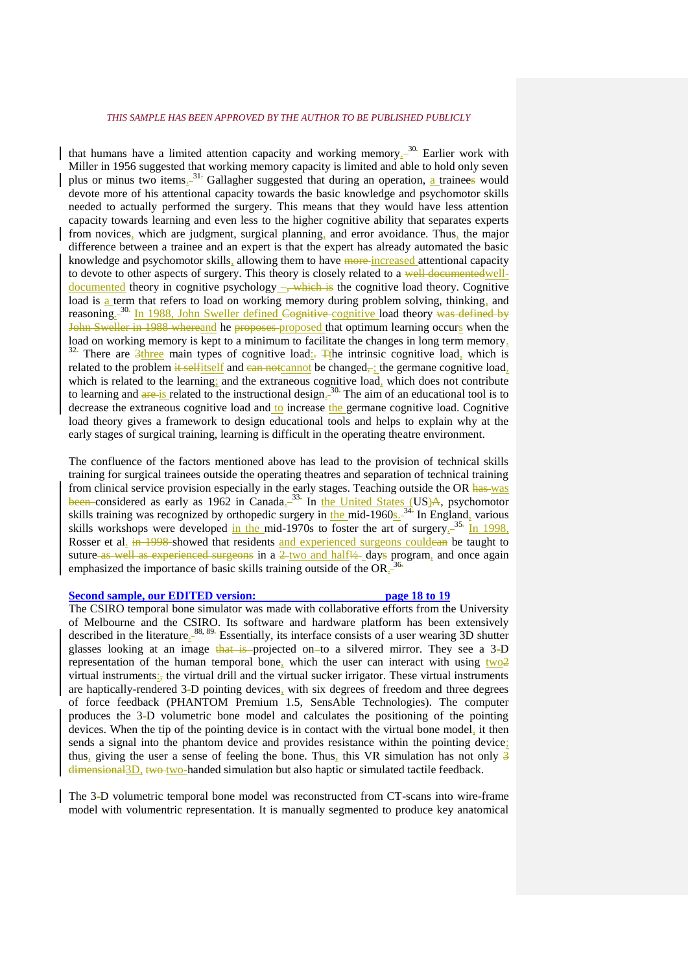that humans have a limited attention capacity and working memory $1^{30}$ . Earlier work with Miller in 1956 suggested that working memory capacity is limited and able to hold only seven plus or minus two items.<sup>31</sup><sup>-</sup> Gallagher suggested that during an operation, a trainees would devote more of his attentional capacity towards the basic knowledge and psychomotor skills needed to actually performed the surgery. This means that they would have less attention capacity towards learning and even less to the higher cognitive ability that separates experts from novices, which are judgment, surgical planning, and error avoidance. Thus, the major difference between a trainee and an expert is that the expert has already automated the basic knowledge and psychomotor skills, allowing them to have more increased attentional capacity to devote to other aspects of surgery. This theory is closely related to a well documented welldocumented theory in cognitive psychology –, which is the cognitive load theory. Cognitive load is a term that refers to load on working memory during problem solving, thinking, and reasoning<sub>-</sub><sup>30.</sup> In 1988, John Sweller defined Cognitive cognitive load theory was defined by John Sweller in 1988 whereand he proposes proposed that optimum learning occurs when the load on working memory is kept to a minimum to facilitate the changes in long term memory.  $32$ . There are 3three main types of cognitive load: The intrinsic cognitive load, which is related to the problem it selfitself and can not cannot be changed, in the germane cognitive load, which is related to the learning; and the extraneous cognitive load, which does not contribute to learning and  $\frac{a}{re}$  is related to the instructional design.<sup>30</sup> The aim of an educational tool is to decrease the extraneous cognitive load and to increase the germane cognitive load. Cognitive load theory gives a framework to design educational tools and helps to explain why at the early stages of surgical training, learning is difficult in the operating theatre environment.

The confluence of the factors mentioned above has lead to the provision of technical skills training for surgical trainees outside the operating theatres and separation of technical training from clinical service provision especially in the early stages. Teaching outside the OR has was been-considered as early as 1962 in Canada<sup>-33</sup>. In the United States (US)A, psychomotor skills training was recognized by orthopedic surgery in the mid-1960s.<sup>34</sup> In England, various skills workshops were developed in the mid-1970s to foster the art of surgery.<sup>35.</sup> In 1998, Rosser et al. in 1998 showed that residents and experienced surgeons couldean be taught to suture as well as experienced surgeons in a  $2$ -two and half $\frac{1}{2}$ -days program, and once again emphasized the importance of basic skills training outside of the OR. 36.

#### **Second sample, our EDITED version: page 18 to 19**

The CSIRO temporal bone simulator was made with collaborative efforts from the University of Melbourne and the CSIRO. Its software and hardware platform has been extensively described in the literature<sup>88, 89</sup> Essentially, its interface consists of a user wearing 3D shutter glasses looking at an image that is projected on to a silvered mirror. They see a 3-D representation of the human temporal bone, which the user can interact with using  $\frac{two2}{2}$ virtual instruments $\frac{1}{2}$ , the virtual drill and the virtual sucker irrigator. These virtual instruments are haptically-rendered 3-D pointing devices, with six degrees of freedom and three degrees of force feedback (PHANTOM Premium 1.5, SensAble Technologies). The computer produces the 3-D volumetric bone model and calculates the positioning of the pointing devices. When the tip of the pointing device is in contact with the virtual bone model, it then sends a signal into the phantom device and provides resistance within the pointing device; thus, giving the user a sense of feeling the bone. Thus, this VR simulation has not only  $\frac{3}{2}$ dimensional<sub>3</sub>D, two-two-handed simulation but also haptic or simulated tactile feedback.

The 3-D volumetric temporal bone model was reconstructed from CT-scans into wire-frame model with volumentric representation. It is manually segmented to produce key anatomical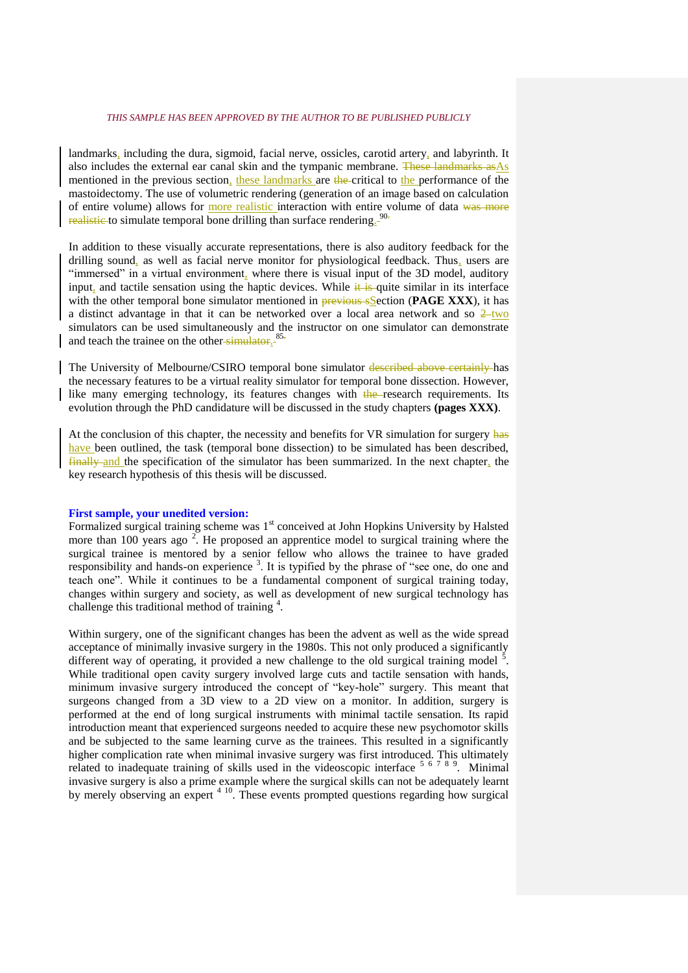landmarks, including the dura, sigmoid, facial nerve, ossicles, carotid artery, and labyrinth. It also includes the external ear canal skin and the tympanic membrane. These landmarks as As mentioned in the previous section, these landmarks are the critical to the performance of the mastoidectomy. The use of volumetric rendering (generation of an image based on calculation of entire volume) allows for more realistic interaction with entire volume of data was more realistic to simulate temporal bone drilling than surface rendering.<sup>90.</sup>

In addition to these visually accurate representations, there is also auditory feedback for the drilling sound, as well as facial nerve monitor for physiological feedback. Thus, users are "immersed" in a virtual environment, where there is visual input of the 3D model, auditory input, and tactile sensation using the haptic devices. While  $\frac{1}{k}$  is quite similar in its interface with the other temporal bone simulator mentioned in **previous sSection (PAGE XXX)**, it has a distinct advantage in that it can be networked over a local area network and so  $2$ -two simulators can be used simultaneously and the instructor on one simulator can demonstrate and teach the trainee on the other-simulator.<sup>85.</sup>

The University of Melbourne/CSIRO temporal bone simulator described above certainly has the necessary features to be a virtual reality simulator for temporal bone dissection. However, like many emerging technology, its features changes with the research requirements. Its evolution through the PhD candidature will be discussed in the study chapters **(pages XXX)**.

At the conclusion of this chapter, the necessity and benefits for VR simulation for surgery has have been outlined, the task (temporal bone dissection) to be simulated has been described, finally and the specification of the simulator has been summarized. In the next chapter, the key research hypothesis of this thesis will be discussed.

#### **First sample, your unedited version:**

Formalized surgical training scheme was 1<sup>st</sup> conceived at John Hopkins University by Halsted more than 100 years ago  $2$ . He proposed an apprentice model to surgical training where the surgical trainee is mentored by a senior fellow who allows the trainee to have graded responsibility and hands-on experience<sup>3</sup>. It is typified by the phrase of "see one, do one and teach one". While it continues to be a fundamental component of surgical training today, changes within surgery and society, as well as development of new surgical technology has challenge this traditional method of training  $4$ .

Within surgery, one of the significant changes has been the advent as well as the wide spread acceptance of minimally invasive surgery in the 1980s. This not only produced a significantly different way of operating, it provided a new challenge to the old surgical training model  $\frac{3}{2}$ . While traditional open cavity surgery involved large cuts and tactile sensation with hands, minimum invasive surgery introduced the concept of "key-hole" surgery. This meant that surgeons changed from a 3D view to a 2D view on a monitor. In addition, surgery is performed at the end of long surgical instruments with minimal tactile sensation. Its rapid introduction meant that experienced surgeons needed to acquire these new psychomotor skills and be subjected to the same learning curve as the trainees. This resulted in a significantly higher complication rate when minimal invasive surgery was first introduced. This ultimately related to inadequate training of skills used in the videoscopic interface  $5/67/89$ . Minimal invasive surgery is also a prime example where the surgical skills can not be adequately learnt by merely observing an expert <sup>4 10</sup>. These events prompted questions regarding how surgical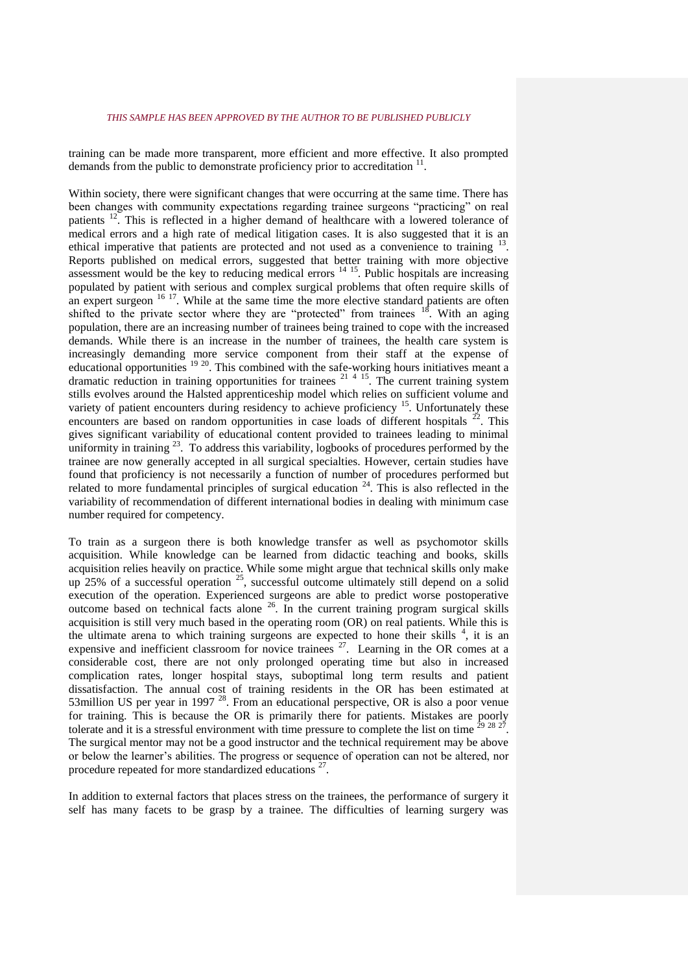training can be made more transparent, more efficient and more effective. It also prompted demands from the public to demonstrate proficiency prior to accreditation  $11$ .

Within society, there were significant changes that were occurring at the same time. There has been changes with community expectations regarding trainee surgeons "practicing" on real patients <sup>12</sup>. This is reflected in a higher demand of healthcare with a lowered tolerance of medical errors and a high rate of medical litigation cases. It is also suggested that it is an ethical imperative that patients are protected and not used as a convenience to training <sup>13</sup>. Reports published on medical errors, suggested that better training with more objective assessment would be the key to reducing medical errors  $14 \times 15$ . Public hospitals are increasing populated by patient with serious and complex surgical problems that often require skills of an expert surgeon  $16 \frac{17}{17}$ . While at the same time the more elective standard patients are often shifted to the private sector where they are "protected" from trainees  $18$ . With an aging population, there are an increasing number of trainees being trained to cope with the increased demands. While there is an increase in the number of trainees, the health care system is increasingly demanding more service component from their staff at the expense of educational opportunities <sup>19 20</sup>. This combined with the safe-working hours initiatives meant a dramatic reduction in training opportunities for trainees  $21 - 4 - 15$ . The current training system stills evolves around the Halsted apprenticeship model which relies on sufficient volume and variety of patient encounters during residency to achieve proficiency <sup>15</sup>. Unfortunately these encounters are based on random opportunities in case loads of different hospitals  $^{22}$ . This gives significant variability of educational content provided to trainees leading to minimal uniformity in training <sup>23</sup>. To address this variability, logbooks of procedures performed by the trainee are now generally accepted in all surgical specialties. However, certain studies have found that proficiency is not necessarily a function of number of procedures performed but related to more fundamental principles of surgical education  $24$ . This is also reflected in the variability of recommendation of different international bodies in dealing with minimum case number required for competency.

To train as a surgeon there is both knowledge transfer as well as psychomotor skills acquisition. While knowledge can be learned from didactic teaching and books, skills acquisition relies heavily on practice. While some might argue that technical skills only make up 25% of a successful operation  $25$ , successful outcome ultimately still depend on a solid execution of the operation. Experienced surgeons are able to predict worse postoperative outcome based on technical facts alone <sup>26</sup>. In the current training program surgical skills acquisition is still very much based in the operating room (OR) on real patients. While this is the ultimate arena to which training surgeons are expected to hone their skills  $4$ , it is an expensive and inefficient classroom for novice trainees  $27$ . Learning in the OR comes at a considerable cost, there are not only prolonged operating time but also in increased complication rates, longer hospital stays, suboptimal long term results and patient dissatisfaction. The annual cost of training residents in the OR has been estimated at 53million US per year in 1997<sup>28</sup>. From an educational perspective, OR is also a poor venue for training. This is because the OR is primarily there for patients. Mistakes are poorly tolerate and it is a stressful environment with time pressure to complete the list on time  $^{29}$   $^{28}$   $^{2}$ . The surgical mentor may not be a good instructor and the technical requirement may be above or below the learner's abilities. The progress or sequence of operation can not be altered, nor procedure repeated for more standardized educations<sup>27</sup>.

In addition to external factors that places stress on the trainees, the performance of surgery it self has many facets to be grasp by a trainee. The difficulties of learning surgery was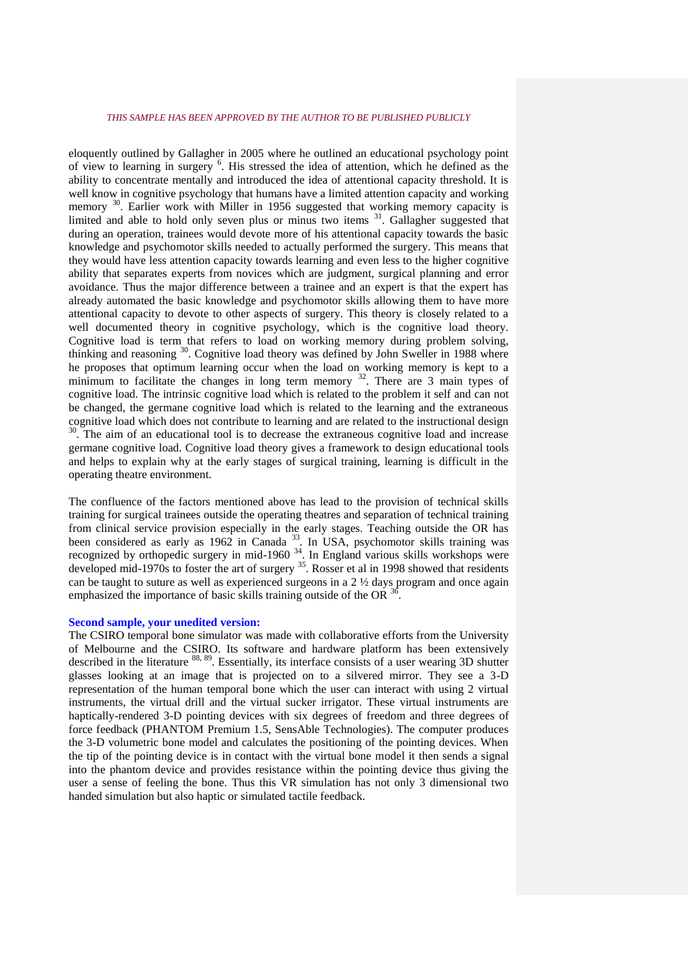eloquently outlined by Gallagher in 2005 where he outlined an educational psychology point of view to learning in surgery <sup>6</sup>. His stressed the idea of attention, which he defined as the ability to concentrate mentally and introduced the idea of attentional capacity threshold. It is well know in cognitive psychology that humans have a limited attention capacity and working memory <sup>30</sup>. Earlier work with Miller in 1956 suggested that working memory capacity is limited and able to hold only seven plus or minus two items <sup>31</sup>. Gallagher suggested that during an operation, trainees would devote more of his attentional capacity towards the basic knowledge and psychomotor skills needed to actually performed the surgery. This means that they would have less attention capacity towards learning and even less to the higher cognitive ability that separates experts from novices which are judgment, surgical planning and error avoidance. Thus the major difference between a trainee and an expert is that the expert has already automated the basic knowledge and psychomotor skills allowing them to have more attentional capacity to devote to other aspects of surgery. This theory is closely related to a well documented theory in cognitive psychology, which is the cognitive load theory. Cognitive load is term that refers to load on working memory during problem solving, thinking and reasoning <sup>30</sup>. Cognitive load theory was defined by John Sweller in 1988 where he proposes that optimum learning occur when the load on working memory is kept to a minimum to facilitate the changes in long term memory  $32$ . There are 3 main types of cognitive load. The intrinsic cognitive load which is related to the problem it self and can not be changed, the germane cognitive load which is related to the learning and the extraneous cognitive load which does not contribute to learning and are related to the instructional design <sup>30</sup>. The aim of an educational tool is to decrease the extraneous cognitive load and increase germane cognitive load. Cognitive load theory gives a framework to design educational tools and helps to explain why at the early stages of surgical training, learning is difficult in the operating theatre environment.

The confluence of the factors mentioned above has lead to the provision of technical skills training for surgical trainees outside the operating theatres and separation of technical training from clinical service provision especially in the early stages. Teaching outside the OR has been considered as early as 1962 in Canada<sup>33</sup>. In USA, psychomotor skills training was recognized by orthopedic surgery in mid-1960  $34$ . In England various skills workshops were developed mid-1970s to foster the art of surgery <sup>35</sup>. Rosser et al in 1998 showed that residents can be taught to suture as well as experienced surgeons in a  $2 \frac{1}{2}$  days program and once again emphasized the importance of basic skills training outside of the OR  $36$ .

# **Second sample, your unedited version:**

The CSIRO temporal bone simulator was made with collaborative efforts from the University of Melbourne and the CSIRO. Its software and hardware platform has been extensively described in the literature 88, 89. Essentially, its interface consists of a user wearing 3D shutter glasses looking at an image that is projected on to a silvered mirror. They see a 3-D representation of the human temporal bone which the user can interact with using 2 virtual instruments, the virtual drill and the virtual sucker irrigator. These virtual instruments are haptically-rendered 3-D pointing devices with six degrees of freedom and three degrees of force feedback (PHANTOM Premium 1.5, SensAble Technologies). The computer produces the 3-D volumetric bone model and calculates the positioning of the pointing devices. When the tip of the pointing device is in contact with the virtual bone model it then sends a signal into the phantom device and provides resistance within the pointing device thus giving the user a sense of feeling the bone. Thus this VR simulation has not only 3 dimensional two handed simulation but also haptic or simulated tactile feedback.